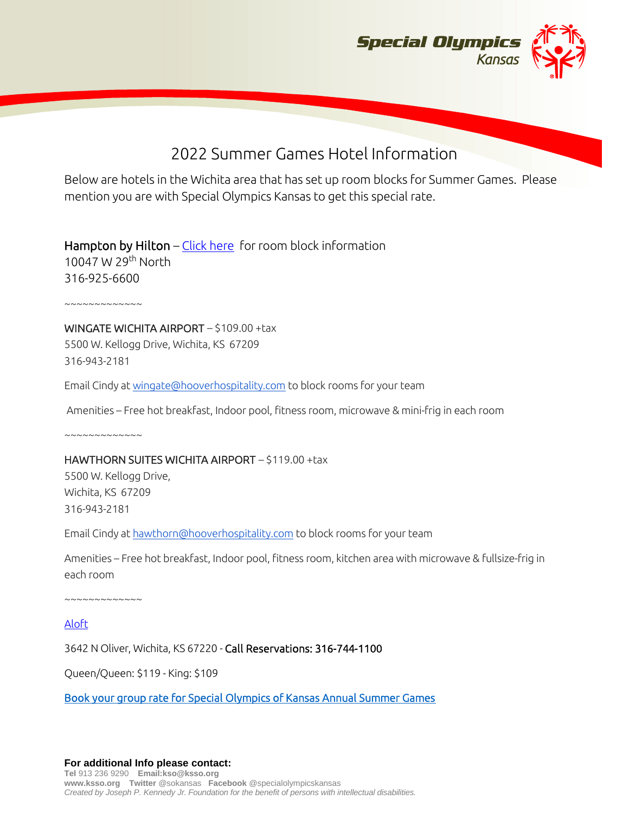

# 2022 Summer Games Hotel Information

Below are hotels in the Wichita area that has set up room blocks for Summer Games. Please mention you are with Special Olympics Kansas to get this special rate.

Hampton by Hilton – [Click here](https://www.hilton.com/en/attend-my-event/ictwkhx-spo-de098c52-1f81-4c8d-b52b-5855efc2b0c8/) for room block information 10047 W 29<sup>th</sup> North 316-925-6600

~~~~~~~~~~~~~

WINGATE WICHITA AIRPORT – \$109.00 +tax 5500 W. Kellogg Drive, Wichita, KS 67209 316-943-2181

Email Cindy at [wingate@hooverhospitality.com](mailto:wingate@hooverhospitality.com) to block rooms for your team

Amenities – Free hot breakfast, Indoor pool, fitness room, microwave & mini-frig in each room

 $~\sim~\sim~\sim~\sim~\sim~\sim~\sim~\sim~\sim~\sim~$ 

#### HAWTHORN SUITES WICHITA AIRPORT – \$119.00 +tax

5500 W. Kellogg Drive, Wichita, KS 67209 316-943-2181

Email Cindy at [hawthorn@hooverhospitality.com](mailto:hawthorn@hooverhospitality.com) to block rooms for your team

Amenities – Free hot breakfast, Indoor pool, fitness room, kitchen area with microwave & fullsize-frig in each room

~~~~~~~~~~~~~

[Aloft](https://www.marriott.com/en-us/hotels/ictal-aloft-wichita/overview/?sci)

3642 N Oliver, Wichita, KS 67220 - Call Reservations: 316-744-1100

Queen/Queen: \$119 - King: \$109

[Book your group rate for Special Olympics of Kansas Annual Summer Games](https://www.marriott.com/events/start.mi?id=1650289678160&key=GRP)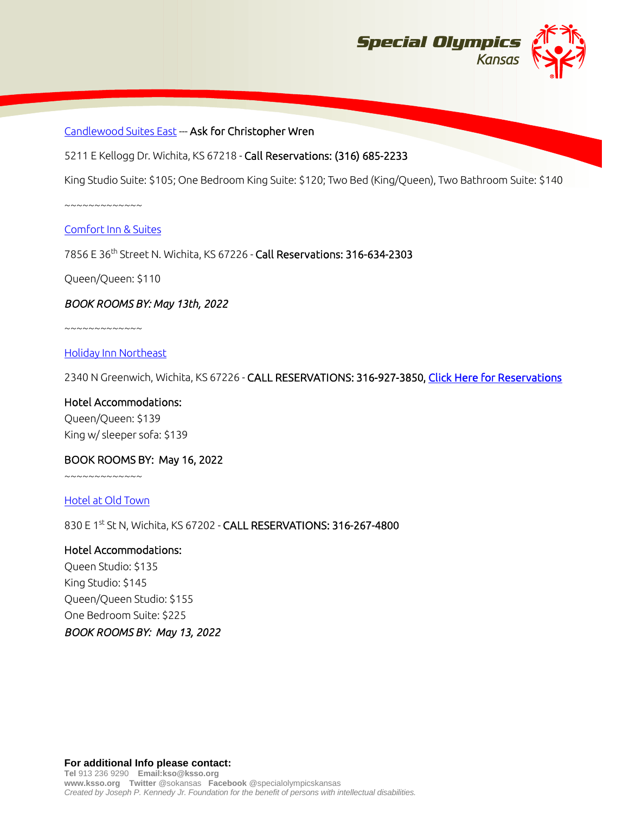

### [Candlewood Suites East](https://www.ihg.com/candlewood/hotels/us/en/wichita/ictcl/hoteldetail?cm_mmc=GoogleMaps-_-CW-_-US-_-ICTCL) --- Ask for Christopher Wren

5211 E Kellogg Dr. Wichita, KS 67218 - Call Reservations: (316) 685-2233

King Studio Suite: \$105; One Bedroom King Suite: \$120; Two Bed (King/Queen), Two Bathroom Suite: \$140

~~~~~~~~~~~~~

#### [Comfort Inn & Suites](https://www.choicehotels.com/kansas/wichita/comfort-inn-hotels/ks239?mc=llgoxxpx)

7856 E 36th Street N. Wichita, KS 67226 - Call Reservations: 316-634-2303

Queen/Queen: \$110

#### *BOOK ROOMS BY: May 13th, 2022*

~~~~~~~~~~~~~

#### [Holiday Inn Northeast](https://www.ihg.com/holidayinnexpress/hotels/us/en/wichita/ictgr/hoteldetail?cm_mmc=GoogleMaps-_-EX-_-US-_-ICTGR)

2340 N Greenwich, Wichita, KS 67226 - CALL RESERVATIONS: 316-927-3850, [Click Here for Reservations](https://www.ihg.com/holidayinnexpress/hotels/us/en/find-hotels/hotel/rooms?qDest=2340%20N%20Greenwich,%20Wichita,%20KS,%20US&qCiMy=52022&qCiD=3&qCoMy=52022&qCoD=5&qAdlt=1&qChld=0&qRms=1&qIta=99801505&qGrpCd=SOS&qSlH=ICTGR&qAkamaiCC=US&qSrt=sBR&qBrs=re.ic.in.vn.cp.vx.hi.ex.rs.cv.sb.cw.ma.ul.ki.va.ii.sp.nd.ct.sx.we.lx&qWch=0&qSmP=1&setPMCookies=true&qRad=30&qRdU=mi&srb_u=1&qSHBrC=EX&icdv=99801505)

## Hotel Accommodations: Queen/Queen: \$139 King w/ sleeper sofa: \$139

#### BOOK ROOMS BY: May 16, 2022

 $~\sim\sim\sim\sim\sim\sim\sim\sim\sim\sim\sim$ 

[Hotel at Old Town](https://www.hotelatoldtown.com/)

830 E 1st St N, Wichita, KS 67202 - CALL RESERVATIONS: 316-267-4800

#### Hotel Accommodations:

Queen Studio: \$135 King Studio: \$145 Queen/Queen Studio: \$155 One Bedroom Suite: \$225 *BOOK ROOMS BY: May 13, 2022*